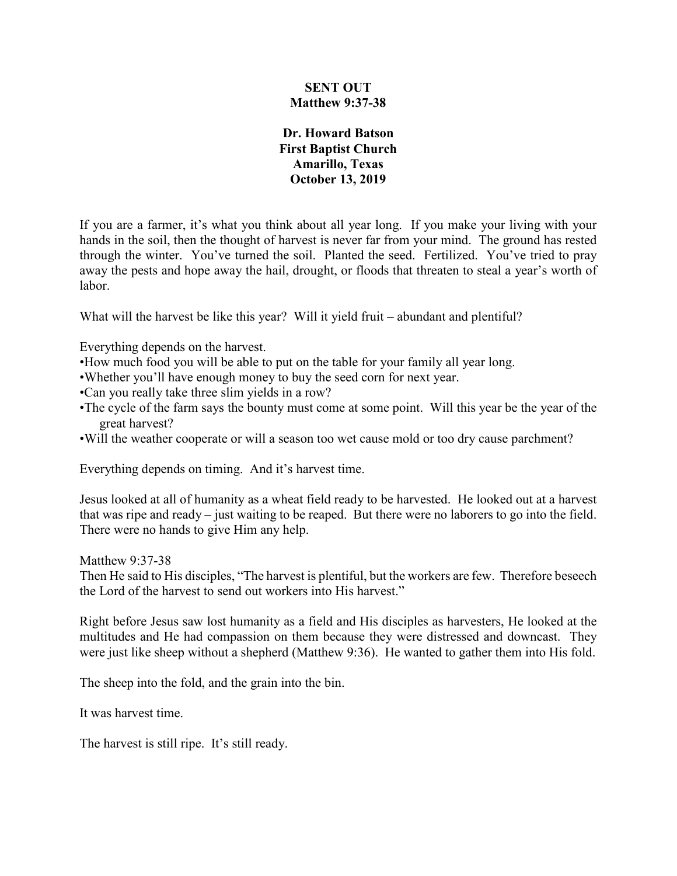## **SENT OUT Matthew 9:37-38**

## **Dr. Howard Batson First Baptist Church Amarillo, Texas October 13, 2019**

If you are a farmer, it's what you think about all year long. If you make your living with your hands in the soil, then the thought of harvest is never far from your mind. The ground has rested through the winter. You've turned the soil. Planted the seed. Fertilized. You've tried to pray away the pests and hope away the hail, drought, or floods that threaten to steal a year's worth of labor.

What will the harvest be like this year? Will it yield fruit – abundant and plentiful?

Everything depends on the harvest.

- •How much food you will be able to put on the table for your family all year long.
- •Whether you'll have enough money to buy the seed corn for next year.
- •Can you really take three slim yields in a row?
- •The cycle of the farm says the bounty must come at some point. Will this year be the year of the great harvest?
- •Will the weather cooperate or will a season too wet cause mold or too dry cause parchment?

Everything depends on timing. And it's harvest time.

Jesus looked at all of humanity as a wheat field ready to be harvested. He looked out at a harvest that was ripe and ready – just waiting to be reaped. But there were no laborers to go into the field. There were no hands to give Him any help.

Matthew 9:37-38

Then He said to His disciples, "The harvest is plentiful, but the workers are few. Therefore beseech the Lord of the harvest to send out workers into His harvest."

Right before Jesus saw lost humanity as a field and His disciples as harvesters, He looked at the multitudes and He had compassion on them because they were distressed and downcast. They were just like sheep without a shepherd (Matthew 9:36). He wanted to gather them into His fold.

The sheep into the fold, and the grain into the bin.

It was harvest time.

The harvest is still ripe. It's still ready.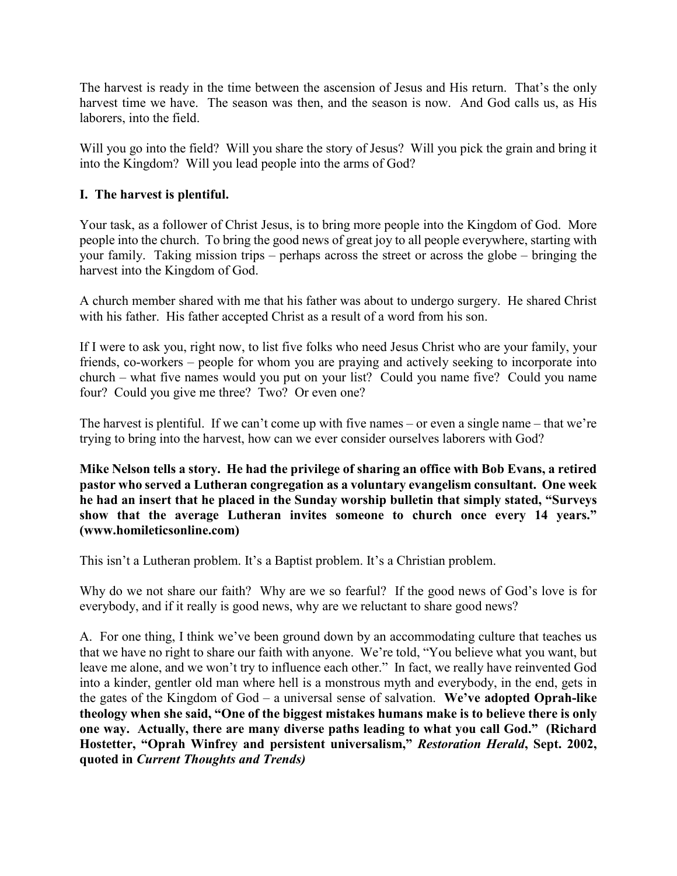The harvest is ready in the time between the ascension of Jesus and His return. That's the only harvest time we have. The season was then, and the season is now. And God calls us, as His laborers, into the field.

Will you go into the field? Will you share the story of Jesus? Will you pick the grain and bring it into the Kingdom? Will you lead people into the arms of God?

# **I. The harvest is plentiful.**

Your task, as a follower of Christ Jesus, is to bring more people into the Kingdom of God. More people into the church. To bring the good news of great joy to all people everywhere, starting with your family. Taking mission trips – perhaps across the street or across the globe – bringing the harvest into the Kingdom of God.

A church member shared with me that his father was about to undergo surgery. He shared Christ with his father. His father accepted Christ as a result of a word from his son.

If I were to ask you, right now, to list five folks who need Jesus Christ who are your family, your friends, co-workers – people for whom you are praying and actively seeking to incorporate into church – what five names would you put on your list? Could you name five? Could you name four? Could you give me three? Two? Or even one?

The harvest is plentiful. If we can't come up with five names – or even a single name – that we're trying to bring into the harvest, how can we ever consider ourselves laborers with God?

**Mike Nelson tells a story. He had the privilege of sharing an office with Bob Evans, a retired pastor who served a Lutheran congregation as a voluntary evangelism consultant. One week he had an insert that he placed in the Sunday worship bulletin that simply stated, "Surveys show that the average Lutheran invites someone to church once every 14 years." (www.homileticsonline.com)**

This isn't a Lutheran problem. It's a Baptist problem. It's a Christian problem.

Why do we not share our faith? Why are we so fearful? If the good news of God's love is for everybody, and if it really is good news, why are we reluctant to share good news?

A. For one thing, I think we've been ground down by an accommodating culture that teaches us that we have no right to share our faith with anyone. We're told, "You believe what you want, but leave me alone, and we won't try to influence each other." In fact, we really have reinvented God into a kinder, gentler old man where hell is a monstrous myth and everybody, in the end, gets in the gates of the Kingdom of God – a universal sense of salvation. **We've adopted Oprah-like theology when she said, "One of the biggest mistakes humans make is to believe there is only one way. Actually, there are many diverse paths leading to what you call God." (Richard Hostetter, "Oprah Winfrey and persistent universalism,"** *Restoration Herald***, Sept. 2002, quoted in** *Current Thoughts and Trends)*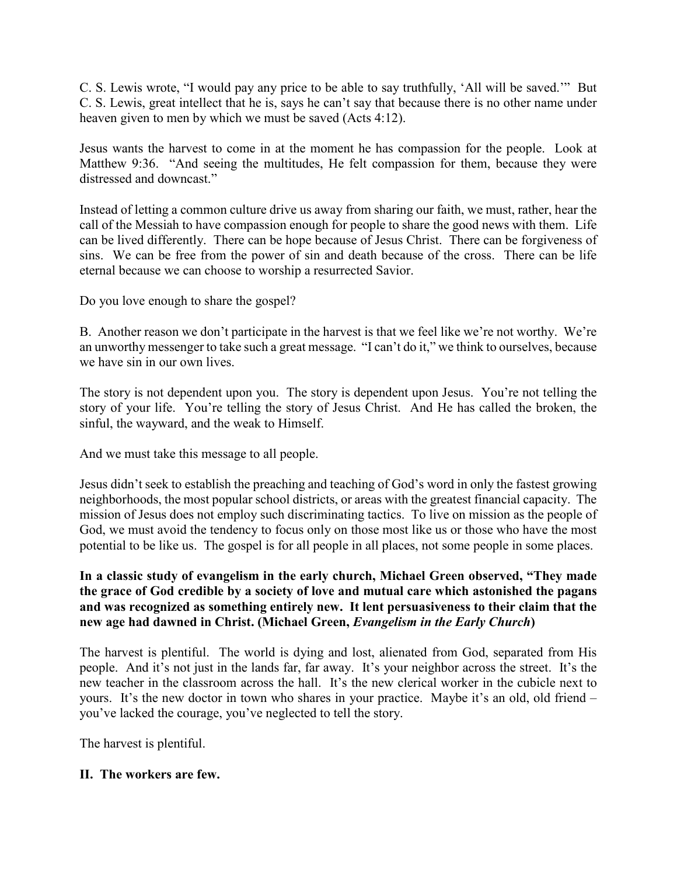C. S. Lewis wrote, "I would pay any price to be able to say truthfully, 'All will be saved.'" But C. S. Lewis, great intellect that he is, says he can't say that because there is no other name under heaven given to men by which we must be saved (Acts 4:12).

Jesus wants the harvest to come in at the moment he has compassion for the people. Look at Matthew 9:36. "And seeing the multitudes, He felt compassion for them, because they were distressed and downcast."

Instead of letting a common culture drive us away from sharing our faith, we must, rather, hear the call of the Messiah to have compassion enough for people to share the good news with them. Life can be lived differently. There can be hope because of Jesus Christ. There can be forgiveness of sins. We can be free from the power of sin and death because of the cross. There can be life eternal because we can choose to worship a resurrected Savior.

Do you love enough to share the gospel?

B. Another reason we don't participate in the harvest is that we feel like we're not worthy. We're an unworthy messenger to take such a great message. "I can't do it," we think to ourselves, because we have sin in our own lives.

The story is not dependent upon you. The story is dependent upon Jesus. You're not telling the story of your life. You're telling the story of Jesus Christ. And He has called the broken, the sinful, the wayward, and the weak to Himself.

And we must take this message to all people.

Jesus didn't seek to establish the preaching and teaching of God's word in only the fastest growing neighborhoods, the most popular school districts, or areas with the greatest financial capacity. The mission of Jesus does not employ such discriminating tactics. To live on mission as the people of God, we must avoid the tendency to focus only on those most like us or those who have the most potential to be like us. The gospel is for all people in all places, not some people in some places.

# **In a classic study of evangelism in the early church, Michael Green observed, "They made the grace of God credible by a society of love and mutual care which astonished the pagans and was recognized as something entirely new. It lent persuasiveness to their claim that the new age had dawned in Christ. (Michael Green,** *Evangelism in the Early Church***)**

The harvest is plentiful. The world is dying and lost, alienated from God, separated from His people. And it's not just in the lands far, far away. It's your neighbor across the street. It's the new teacher in the classroom across the hall. It's the new clerical worker in the cubicle next to yours. It's the new doctor in town who shares in your practice. Maybe it's an old, old friend – you've lacked the courage, you've neglected to tell the story.

The harvest is plentiful.

# **II. The workers are few.**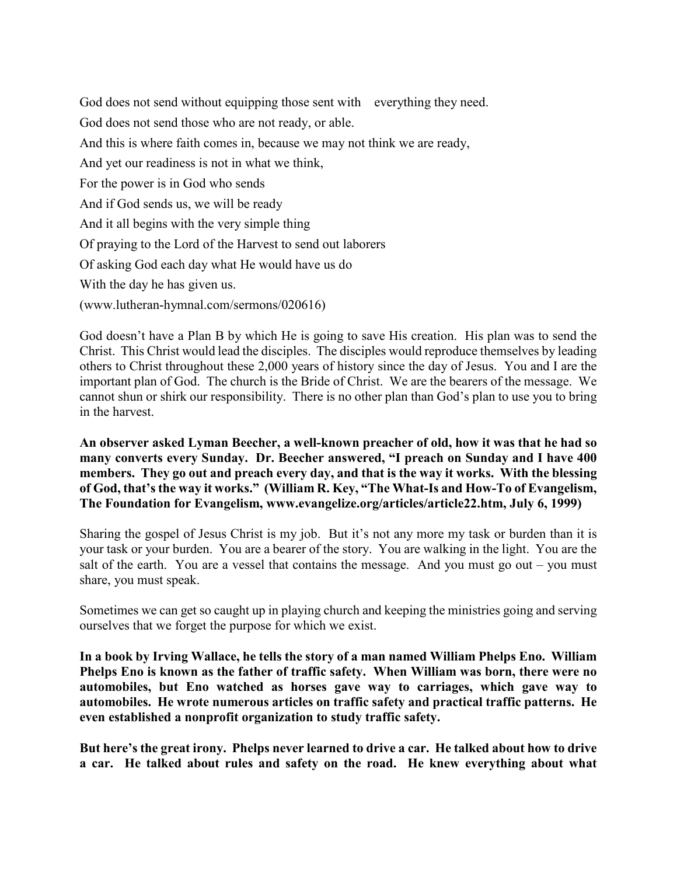God does not send without equipping those sent with everything they need. God does not send those who are not ready, or able. And this is where faith comes in, because we may not think we are ready, And yet our readiness is not in what we think, For the power is in God who sends And if God sends us, we will be ready And it all begins with the very simple thing Of praying to the Lord of the Harvest to send out laborers Of asking God each day what He would have us do With the day he has given us. (www.lutheran-hymnal.com/sermons/020616)

God doesn't have a Plan B by which He is going to save His creation. His plan was to send the Christ. This Christ would lead the disciples. The disciples would reproduce themselves by leading others to Christ throughout these 2,000 years of history since the day of Jesus. You and I are the important plan of God. The church is the Bride of Christ. We are the bearers of the message. We cannot shun or shirk our responsibility. There is no other plan than God's plan to use you to bring in the harvest.

**An observer asked Lyman Beecher, a well-known preacher of old, how it was that he had so many converts every Sunday. Dr. Beecher answered, "I preach on Sunday and I have 400 members. They go out and preach every day, and that is the way it works. With the blessing of God, that's the way it works." (William R. Key, "The What-Is and How-To of Evangelism, The Foundation for Evangelism, www.evangelize.org/articles/article22.htm, July 6, 1999)**

Sharing the gospel of Jesus Christ is my job. But it's not any more my task or burden than it is your task or your burden. You are a bearer of the story. You are walking in the light. You are the salt of the earth. You are a vessel that contains the message. And you must go out  $-$  you must share, you must speak.

Sometimes we can get so caught up in playing church and keeping the ministries going and serving ourselves that we forget the purpose for which we exist.

**In a book by Irving Wallace, he tells the story of a man named William Phelps Eno. William Phelps Eno is known as the father of traffic safety. When William was born, there were no automobiles, but Eno watched as horses gave way to carriages, which gave way to automobiles. He wrote numerous articles on traffic safety and practical traffic patterns. He even established a nonprofit organization to study traffic safety.** 

**But here's the great irony. Phelps never learned to drive a car. He talked about how to drive a car. He talked about rules and safety on the road. He knew everything about what**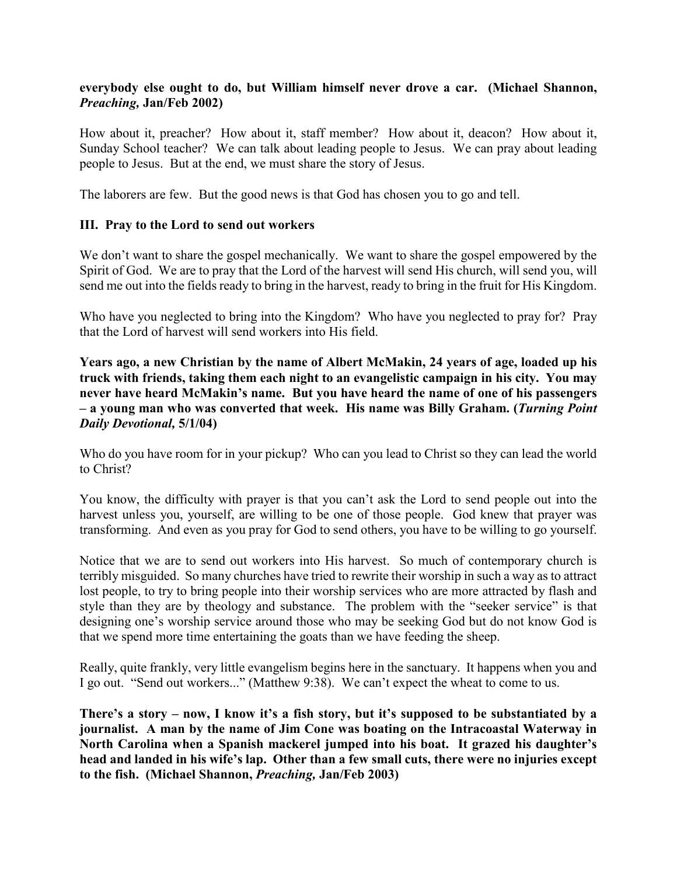## **everybody else ought to do, but William himself never drove a car. (Michael Shannon,**  *Preaching,* **Jan/Feb 2002)**

How about it, preacher? How about it, staff member? How about it, deacon? How about it, Sunday School teacher? We can talk about leading people to Jesus. We can pray about leading people to Jesus. But at the end, we must share the story of Jesus.

The laborers are few. But the good news is that God has chosen you to go and tell.

## **III. Pray to the Lord to send out workers**

We don't want to share the gospel mechanically. We want to share the gospel empowered by the Spirit of God. We are to pray that the Lord of the harvest will send His church, will send you, will send me out into the fields ready to bring in the harvest, ready to bring in the fruit for His Kingdom.

Who have you neglected to bring into the Kingdom? Who have you neglected to pray for? Pray that the Lord of harvest will send workers into His field.

**Years ago, a new Christian by the name of Albert McMakin, 24 years of age, loaded up his truck with friends, taking them each night to an evangelistic campaign in his city. You may never have heard McMakin's name. But you have heard the name of one of his passengers – a young man who was converted that week. His name was Billy Graham. (***Turning Point Daily Devotional,* **5/1/04)**

Who do you have room for in your pickup? Who can you lead to Christ so they can lead the world to Christ?

You know, the difficulty with prayer is that you can't ask the Lord to send people out into the harvest unless you, yourself, are willing to be one of those people. God knew that prayer was transforming. And even as you pray for God to send others, you have to be willing to go yourself.

Notice that we are to send out workers into His harvest. So much of contemporary church is terribly misguided. So many churches have tried to rewrite their worship in such a way as to attract lost people, to try to bring people into their worship services who are more attracted by flash and style than they are by theology and substance. The problem with the "seeker service" is that designing one's worship service around those who may be seeking God but do not know God is that we spend more time entertaining the goats than we have feeding the sheep.

Really, quite frankly, very little evangelism begins here in the sanctuary. It happens when you and I go out. "Send out workers..." (Matthew 9:38). We can't expect the wheat to come to us.

**There's a story – now, I know it's a fish story, but it's supposed to be substantiated by a journalist. A man by the name of Jim Cone was boating on the Intracoastal Waterway in North Carolina when a Spanish mackerel jumped into his boat. It grazed his daughter's head and landed in his wife's lap. Other than a few small cuts, there were no injuries except to the fish. (Michael Shannon,** *Preaching,* **Jan/Feb 2003)**